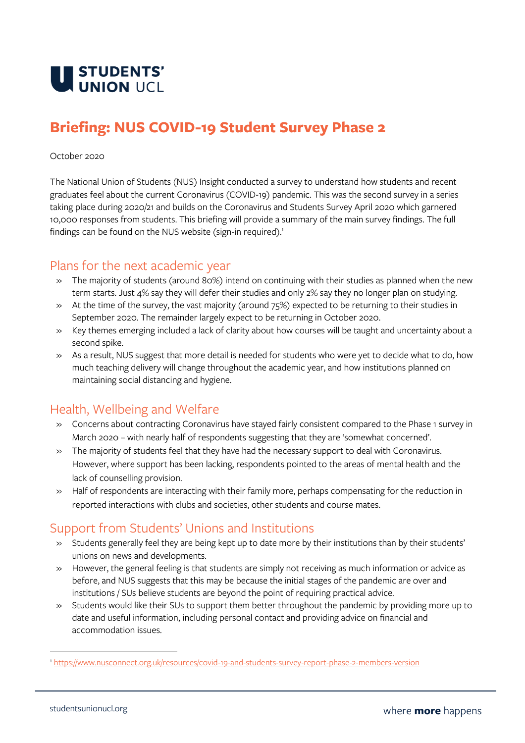

# **Briefing: NUS COVID-19 Student Survey Phase 2**

#### October 2020

The National Union of Students (NUS) Insight conducted a survey to understand how students and recent graduates feel about the current Coronavirus (COVID-19) pandemic. This was the second survey in a series taking place during 2020/21 and builds on the Coronavirus and Students Survey April 2020 which garnered 10,000 responses from students. This briefing will provide a summary of the main survey findings. The full findings can be found on the NUS website (sign-in required).<sup>1</sup>

#### Plans for the next academic year

- » The majority of students (around 80%) intend on continuing with their studies as planned when the new term starts. Just 4% say they will defer their studies and only 2% say they no longer plan on studying.
- » At the time of the survey, the vast majority (around 75%) expected to be returning to their studies in September 2020. The remainder largely expect to be returning in October 2020.
- » Key themes emerging included a lack of clarity about how courses will be taught and uncertainty about a second spike.
- » As a result, NUS suggest that more detail is needed for students who were yet to decide what to do, how much teaching delivery will change throughout the academic year, and how institutions planned on maintaining social distancing and hygiene.

### Health, Wellbeing and Welfare

- » Concerns about contracting Coronavirus have stayed fairly consistent compared to the Phase 1 survey in March 2020 – with nearly half of respondents suggesting that they are 'somewhat concerned'.
- » The majority of students feel that they have had the necessary support to deal with Coronavirus. However, where support has been lacking, respondents pointed to the areas of mental health and the lack of counselling provision.
- » Half of respondents are interacting with their family more, perhaps compensating for the reduction in reported interactions with clubs and societies, other students and course mates.

### Support from Students' Unions and Institutions

- » Students generally feel they are being kept up to date more by their institutions than by their students' unions on news and developments.
- » However, the general feeling is that students are simply not receiving as much information or advice as before, and NUS suggests that this may be because the initial stages of the pandemic are over and institutions / SUs believe students are beyond the point of requiring practical advice.
- » Students would like their SUs to support them better throughout the pandemic by providing more up to date and useful information, including personal contact and providing advice on financial and accommodation issues.

<sup>1</sup> <https://www.nusconnect.org.uk/resources/covid-19-and-students-survey-report-phase-2-members-version>